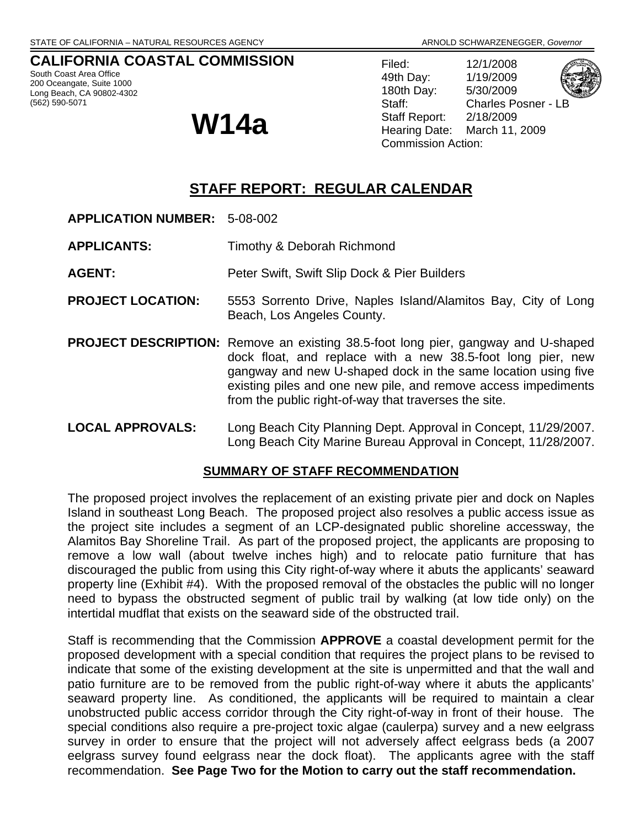# **CALIFORNIA COASTAL COMMISSION**

South Coast Area Office 200 Oceangate, Suite 1000 Long Beach, CA 90802-4302 (562) 590-5071

Filed: 12/1/2008 49th Day: 1/19/2009 180th Day: 5/30/2009 Staff: Charles Posner - LB Staff Report: 2/18/2009 **W14a** Staff Report: 2/18/2009<br>Hearing Date: March 11, 2009 Commission Action:

# **STAFF REPORT: REGULAR CALENDAR**

- **APPLICATION NUMBER:** 5-08-002
- **APPLICANTS:** Timothy & Deborah Richmond
- **AGENT:** Peter Swift, Swift Slip Dock & Pier Builders
- **PROJECT LOCATION:** 5553 Sorrento Drive, Naples Island/Alamitos Bay, City of Long Beach, Los Angeles County.
- **PROJECT DESCRIPTION:** Remove an existing 38.5-foot long pier, gangway and U-shaped dock float, and replace with a new 38.5-foot long pier, new gangway and new U-shaped dock in the same location using five existing piles and one new pile, and remove access impediments from the public right-of-way that traverses the site.
- **LOCAL APPROVALS:** Long Beach City Planning Dept. Approval in Concept, 11/29/2007. Long Beach City Marine Bureau Approval in Concept, 11/28/2007.

#### **SUMMARY OF STAFF RECOMMENDATION**

The proposed project involves the replacement of an existing private pier and dock on Naples Island in southeast Long Beach. The proposed project also resolves a public access issue as the project site includes a segment of an LCP-designated public shoreline accessway, the Alamitos Bay Shoreline Trail. As part of the proposed project, the applicants are proposing to remove a low wall (about twelve inches high) and to relocate patio furniture that has discouraged the public from using this City right-of-way where it abuts the applicants' seaward property line (Exhibit #4). With the proposed removal of the obstacles the public will no longer need to bypass the obstructed segment of public trail by walking (at low tide only) on the intertidal mudflat that exists on the seaward side of the obstructed trail.

Staff is recommending that the Commission **APPROVE** a coastal development permit for the proposed development with a special condition that requires the project plans to be revised to indicate that some of the existing development at the site is unpermitted and that the wall and patio furniture are to be removed from the public right-of-way where it abuts the applicants' seaward property line. As conditioned, the applicants will be required to maintain a clear unobstructed public access corridor through the City right-of-way in front of their house. The special conditions also require a pre-project toxic algae (caulerpa) survey and a new eelgrass survey in order to ensure that the project will not adversely affect eelgrass beds (a 2007 eelgrass survey found eelgrass near the dock float). The applicants agree with the staff recommendation. **See Page Two for the Motion to carry out the staff recommendation.**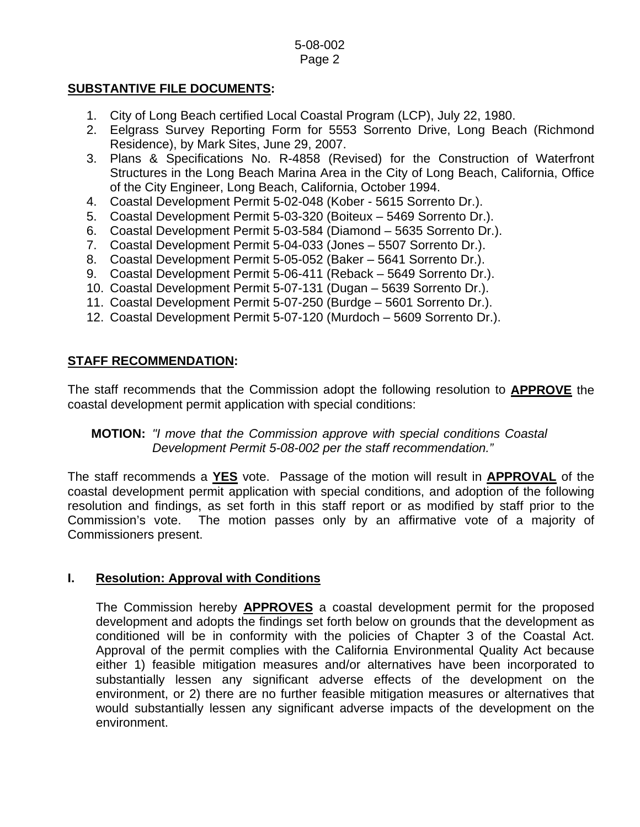# **SUBSTANTIVE FILE DOCUMENTS:**

- 1. City of Long Beach certified Local Coastal Program (LCP), July 22, 1980.
- 2. Eelgrass Survey Reporting Form for 5553 Sorrento Drive, Long Beach (Richmond Residence), by Mark Sites, June 29, 2007.
- 3. Plans & Specifications No. R-4858 (Revised) for the Construction of Waterfront Structures in the Long Beach Marina Area in the City of Long Beach, California, Office of the City Engineer, Long Beach, California, October 1994.
- 4. Coastal Development Permit 5-02-048 (Kober 5615 Sorrento Dr.).
- 5. Coastal Development Permit 5-03-320 (Boiteux 5469 Sorrento Dr.).
- 6. Coastal Development Permit 5-03-584 (Diamond 5635 Sorrento Dr.).
- 7. Coastal Development Permit 5-04-033 (Jones 5507 Sorrento Dr.).
- 8. Coastal Development Permit 5-05-052 (Baker 5641 Sorrento Dr.).
- 9. Coastal Development Permit 5-06-411 (Reback 5649 Sorrento Dr.).
- 10. Coastal Development Permit 5-07-131 (Dugan 5639 Sorrento Dr.).
- 11. Coastal Development Permit 5-07-250 (Burdge 5601 Sorrento Dr.).
- 12. Coastal Development Permit 5-07-120 (Murdoch 5609 Sorrento Dr.).

# **STAFF RECOMMENDATION:**

The staff recommends that the Commission adopt the following resolution to **APPROVE** the coastal development permit application with special conditions:

# **MOTION:** *"I move that the Commission approve with special conditions Coastal Development Permit 5-08-002 per the staff recommendation."*

The staff recommends a **YES** vote. Passage of the motion will result in **APPROVAL** of the coastal development permit application with special conditions, and adoption of the following resolution and findings, as set forth in this staff report or as modified by staff prior to the Commission's vote. The motion passes only by an affirmative vote of a majority of Commissioners present.

#### **I. Resolution: Approval with Conditions**

The Commission hereby **APPROVES** a coastal development permit for the proposed development and adopts the findings set forth below on grounds that the development as conditioned will be in conformity with the policies of Chapter 3 of the Coastal Act. Approval of the permit complies with the California Environmental Quality Act because either 1) feasible mitigation measures and/or alternatives have been incorporated to substantially lessen any significant adverse effects of the development on the environment, or 2) there are no further feasible mitigation measures or alternatives that would substantially lessen any significant adverse impacts of the development on the environment.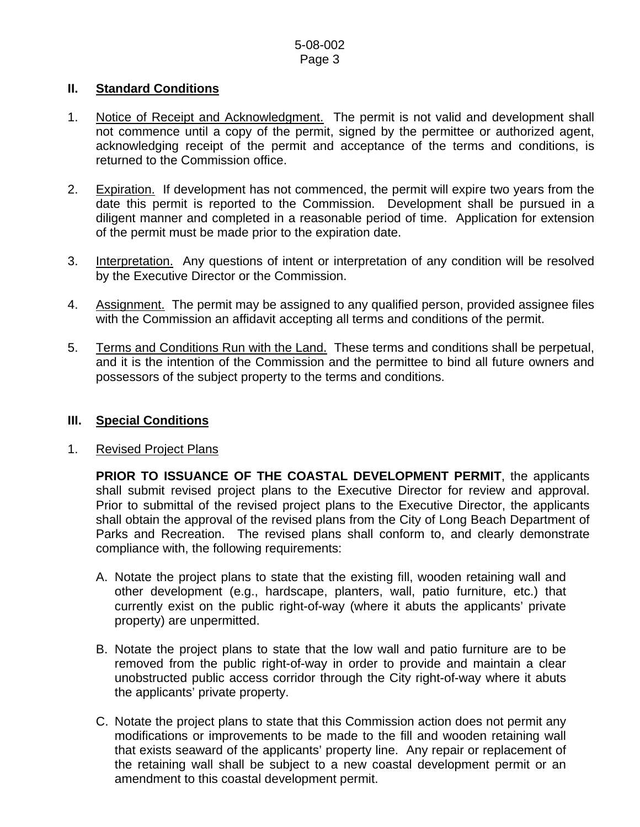# **II. Standard Conditions**

- 1. Notice of Receipt and Acknowledgment. The permit is not valid and development shall not commence until a copy of the permit, signed by the permittee or authorized agent, acknowledging receipt of the permit and acceptance of the terms and conditions, is returned to the Commission office.
- 2. Expiration. If development has not commenced, the permit will expire two years from the date this permit is reported to the Commission. Development shall be pursued in a diligent manner and completed in a reasonable period of time. Application for extension of the permit must be made prior to the expiration date.
- 3. Interpretation. Any questions of intent or interpretation of any condition will be resolved by the Executive Director or the Commission.
- 4. Assignment. The permit may be assigned to any qualified person, provided assignee files with the Commission an affidavit accepting all terms and conditions of the permit.
- 5. Terms and Conditions Run with the Land. These terms and conditions shall be perpetual, and it is the intention of the Commission and the permittee to bind all future owners and possessors of the subject property to the terms and conditions.

## **III. Special Conditions**

#### 1. Revised Project Plans

**PRIOR TO ISSUANCE OF THE COASTAL DEVELOPMENT PERMIT**, the applicants shall submit revised project plans to the Executive Director for review and approval. Prior to submittal of the revised project plans to the Executive Director, the applicants shall obtain the approval of the revised plans from the City of Long Beach Department of Parks and Recreation. The revised plans shall conform to, and clearly demonstrate compliance with, the following requirements:

- A. Notate the project plans to state that the existing fill, wooden retaining wall and other development (e.g., hardscape, planters, wall, patio furniture, etc.) that currently exist on the public right-of-way (where it abuts the applicants' private property) are unpermitted.
- B. Notate the project plans to state that the low wall and patio furniture are to be removed from the public right-of-way in order to provide and maintain a clear unobstructed public access corridor through the City right-of-way where it abuts the applicants' private property.
- C. Notate the project plans to state that this Commission action does not permit any modifications or improvements to be made to the fill and wooden retaining wall that exists seaward of the applicants' property line. Any repair or replacement of the retaining wall shall be subject to a new coastal development permit or an amendment to this coastal development permit.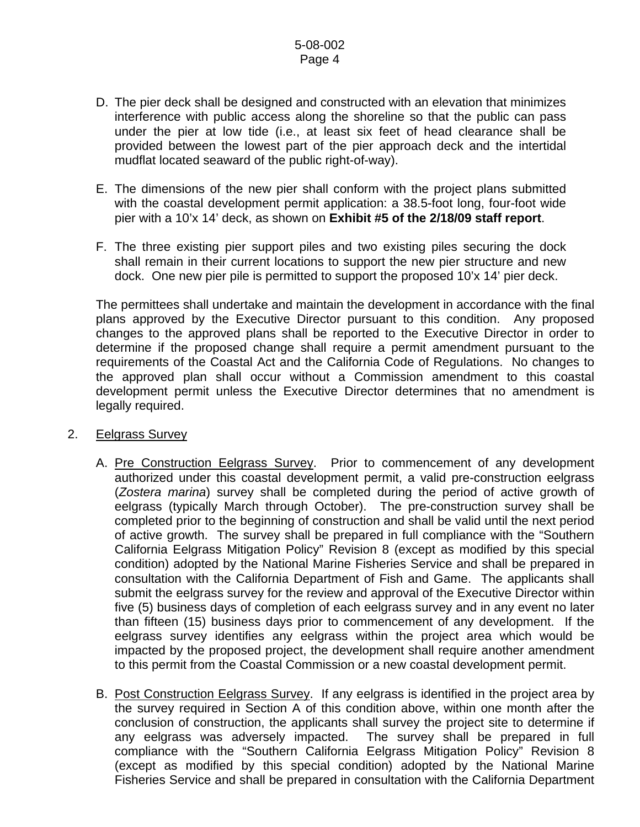- D. The pier deck shall be designed and constructed with an elevation that minimizes interference with public access along the shoreline so that the public can pass under the pier at low tide (i.e., at least six feet of head clearance shall be provided between the lowest part of the pier approach deck and the intertidal mudflat located seaward of the public right-of-way).
- E. The dimensions of the new pier shall conform with the project plans submitted with the coastal development permit application: a 38.5-foot long, four-foot wide pier with a 10'x 14' deck, as shown on **Exhibit #5 of the 2/18/09 staff report**.
- F. The three existing pier support piles and two existing piles securing the dock shall remain in their current locations to support the new pier structure and new dock. One new pier pile is permitted to support the proposed 10'x 14' pier deck.

The permittees shall undertake and maintain the development in accordance with the final plans approved by the Executive Director pursuant to this condition. Any proposed changes to the approved plans shall be reported to the Executive Director in order to determine if the proposed change shall require a permit amendment pursuant to the requirements of the Coastal Act and the California Code of Regulations. No changes to the approved plan shall occur without a Commission amendment to this coastal development permit unless the Executive Director determines that no amendment is legally required.

#### 2. Eelgrass Survey

- A. Pre Construction Eelgrass Survey. Prior to commencement of any development authorized under this coastal development permit, a valid pre-construction eelgrass (*Zostera marina*) survey shall be completed during the period of active growth of eelgrass (typically March through October). The pre-construction survey shall be completed prior to the beginning of construction and shall be valid until the next period of active growth. The survey shall be prepared in full compliance with the "Southern California Eelgrass Mitigation Policy" Revision 8 (except as modified by this special condition) adopted by the National Marine Fisheries Service and shall be prepared in consultation with the California Department of Fish and Game. The applicants shall submit the eelgrass survey for the review and approval of the Executive Director within five (5) business days of completion of each eelgrass survey and in any event no later than fifteen (15) business days prior to commencement of any development. If the eelgrass survey identifies any eelgrass within the project area which would be impacted by the proposed project, the development shall require another amendment to this permit from the Coastal Commission or a new coastal development permit.
- B. Post Construction Eelgrass Survey. If any eelgrass is identified in the project area by the survey required in Section A of this condition above, within one month after the conclusion of construction, the applicants shall survey the project site to determine if any eelgrass was adversely impacted. The survey shall be prepared in full compliance with the "Southern California Eelgrass Mitigation Policy" Revision 8 (except as modified by this special condition) adopted by the National Marine Fisheries Service and shall be prepared in consultation with the California Department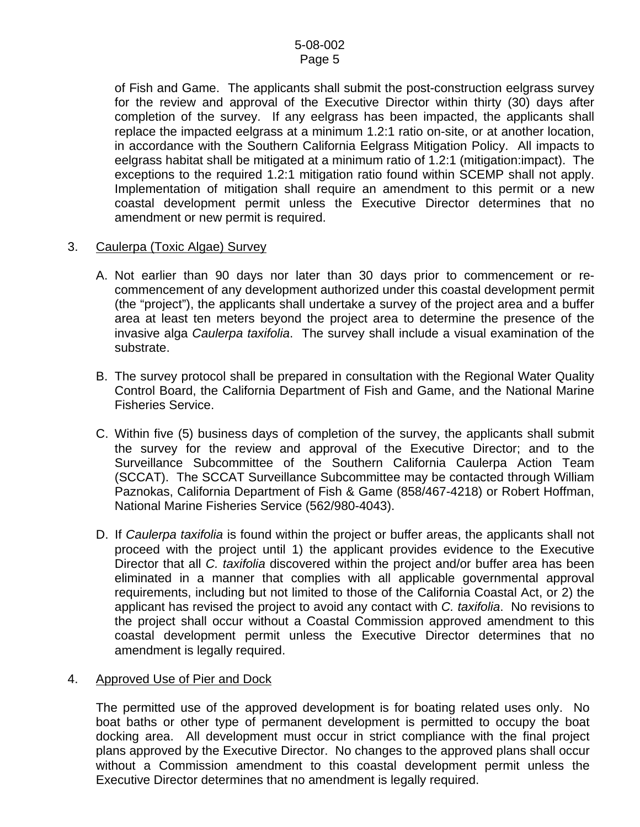of Fish and Game. The applicants shall submit the post-construction eelgrass survey for the review and approval of the Executive Director within thirty (30) days after completion of the survey. If any eelgrass has been impacted, the applicants shall replace the impacted eelgrass at a minimum 1.2:1 ratio on-site, or at another location, in accordance with the Southern California Eelgrass Mitigation Policy. All impacts to eelgrass habitat shall be mitigated at a minimum ratio of 1.2:1 (mitigation:impact). The exceptions to the required 1.2:1 mitigation ratio found within SCEMP shall not apply. Implementation of mitigation shall require an amendment to this permit or a new coastal development permit unless the Executive Director determines that no amendment or new permit is required.

#### 3. Caulerpa (Toxic Algae) Survey

- A. Not earlier than 90 days nor later than 30 days prior to commencement or recommencement of any development authorized under this coastal development permit (the "project"), the applicants shall undertake a survey of the project area and a buffer area at least ten meters beyond the project area to determine the presence of the invasive alga *Caulerpa taxifolia*. The survey shall include a visual examination of the substrate.
- B. The survey protocol shall be prepared in consultation with the Regional Water Quality Control Board, the California Department of Fish and Game, and the National Marine Fisheries Service.
- C. Within five (5) business days of completion of the survey, the applicants shall submit the survey for the review and approval of the Executive Director; and to the Surveillance Subcommittee of the Southern California Caulerpa Action Team (SCCAT). The SCCAT Surveillance Subcommittee may be contacted through William Paznokas, California Department of Fish & Game (858/467-4218) or Robert Hoffman, National Marine Fisheries Service (562/980-4043).
- D. If *Caulerpa taxifolia* is found within the project or buffer areas, the applicants shall not proceed with the project until 1) the applicant provides evidence to the Executive Director that all *C. taxifolia* discovered within the project and/or buffer area has been eliminated in a manner that complies with all applicable governmental approval requirements, including but not limited to those of the California Coastal Act, or 2) the applicant has revised the project to avoid any contact with *C. taxifolia*. No revisions to the project shall occur without a Coastal Commission approved amendment to this coastal development permit unless the Executive Director determines that no amendment is legally required.

# 4. Approved Use of Pier and Dock

The permitted use of the approved development is for boating related uses only. No boat baths or other type of permanent development is permitted to occupy the boat docking area. All development must occur in strict compliance with the final project plans approved by the Executive Director. No changes to the approved plans shall occur without a Commission amendment to this coastal development permit unless the Executive Director determines that no amendment is legally required.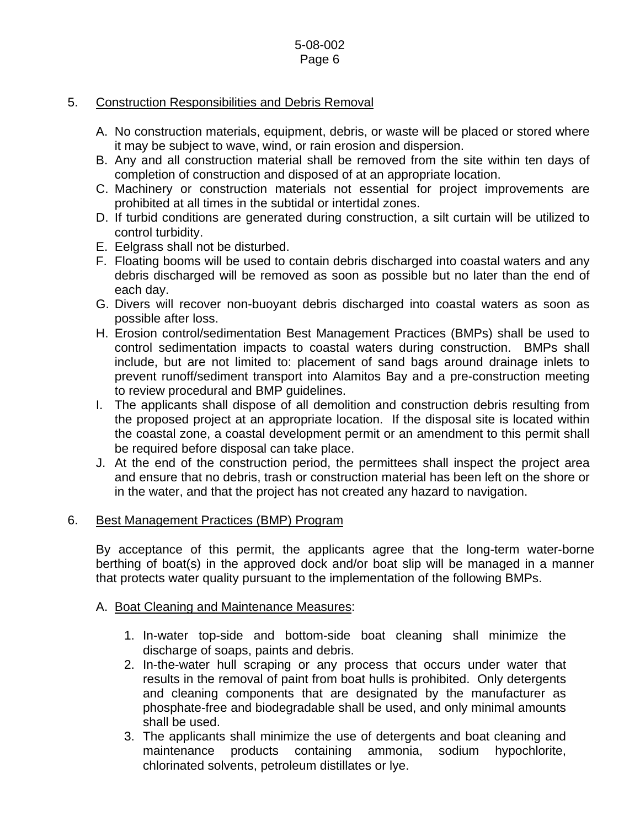# 5. Construction Responsibilities and Debris Removal

- A. No construction materials, equipment, debris, or waste will be placed or stored where it may be subject to wave, wind, or rain erosion and dispersion.
- B. Any and all construction material shall be removed from the site within ten days of completion of construction and disposed of at an appropriate location.
- C. Machinery or construction materials not essential for project improvements are prohibited at all times in the subtidal or intertidal zones.
- D. If turbid conditions are generated during construction, a silt curtain will be utilized to control turbidity.
- E. Eelgrass shall not be disturbed.
- F. Floating booms will be used to contain debris discharged into coastal waters and any debris discharged will be removed as soon as possible but no later than the end of each day.
- G. Divers will recover non-buoyant debris discharged into coastal waters as soon as possible after loss.
- H. Erosion control/sedimentation Best Management Practices (BMPs) shall be used to control sedimentation impacts to coastal waters during construction. BMPs shall include, but are not limited to: placement of sand bags around drainage inlets to prevent runoff/sediment transport into Alamitos Bay and a pre-construction meeting to review procedural and BMP guidelines.
- I. The applicants shall dispose of all demolition and construction debris resulting from the proposed project at an appropriate location. If the disposal site is located within the coastal zone, a coastal development permit or an amendment to this permit shall be required before disposal can take place.
- J. At the end of the construction period, the permittees shall inspect the project area and ensure that no debris, trash or construction material has been left on the shore or in the water, and that the project has not created any hazard to navigation.

# 6. Best Management Practices (BMP) Program

By acceptance of this permit, the applicants agree that the long-term water-borne berthing of boat(s) in the approved dock and/or boat slip will be managed in a manner that protects water quality pursuant to the implementation of the following BMPs.

# A. Boat Cleaning and Maintenance Measures:

- 1. In-water top-side and bottom-side boat cleaning shall minimize the discharge of soaps, paints and debris.
- 2. In-the-water hull scraping or any process that occurs under water that results in the removal of paint from boat hulls is prohibited. Only detergents and cleaning components that are designated by the manufacturer as phosphate-free and biodegradable shall be used, and only minimal amounts shall be used.
- 3. The applicants shall minimize the use of detergents and boat cleaning and maintenance products containing ammonia, sodium hypochlorite, chlorinated solvents, petroleum distillates or lye.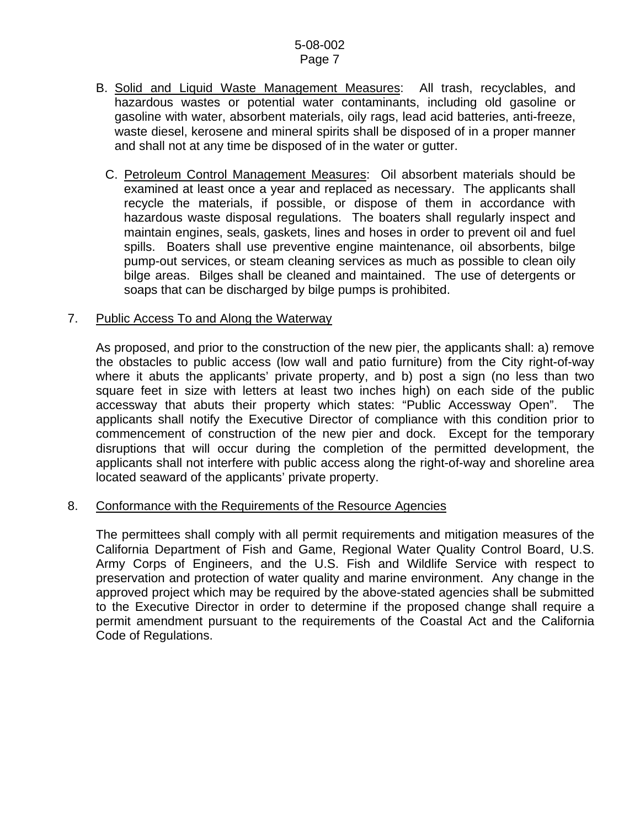- B. Solid and Liquid Waste Management Measures: All trash, recyclables, and hazardous wastes or potential water contaminants, including old gasoline or gasoline with water, absorbent materials, oily rags, lead acid batteries, anti-freeze, waste diesel, kerosene and mineral spirits shall be disposed of in a proper manner and shall not at any time be disposed of in the water or gutter.
	- C. Petroleum Control Management Measures: Oil absorbent materials should be examined at least once a year and replaced as necessary. The applicants shall recycle the materials, if possible, or dispose of them in accordance with hazardous waste disposal regulations. The boaters shall regularly inspect and maintain engines, seals, gaskets, lines and hoses in order to prevent oil and fuel spills. Boaters shall use preventive engine maintenance, oil absorbents, bilge pump-out services, or steam cleaning services as much as possible to clean oily bilge areas. Bilges shall be cleaned and maintained. The use of detergents or soaps that can be discharged by bilge pumps is prohibited.

#### 7. Public Access To and Along the Waterway

As proposed, and prior to the construction of the new pier, the applicants shall: a) remove the obstacles to public access (low wall and patio furniture) from the City right-of-way where it abuts the applicants' private property, and b) post a sign (no less than two square feet in size with letters at least two inches high) on each side of the public accessway that abuts their property which states: "Public Accessway Open". The applicants shall notify the Executive Director of compliance with this condition prior to commencement of construction of the new pier and dock. Except for the temporary disruptions that will occur during the completion of the permitted development, the applicants shall not interfere with public access along the right-of-way and shoreline area located seaward of the applicants' private property.

#### 8. Conformance with the Requirements of the Resource Agencies

 The permittees shall comply with all permit requirements and mitigation measures of the California Department of Fish and Game, Regional Water Quality Control Board, U.S. Army Corps of Engineers, and the U.S. Fish and Wildlife Service with respect to preservation and protection of water quality and marine environment. Any change in the approved project which may be required by the above-stated agencies shall be submitted to the Executive Director in order to determine if the proposed change shall require a permit amendment pursuant to the requirements of the Coastal Act and the California Code of Regulations.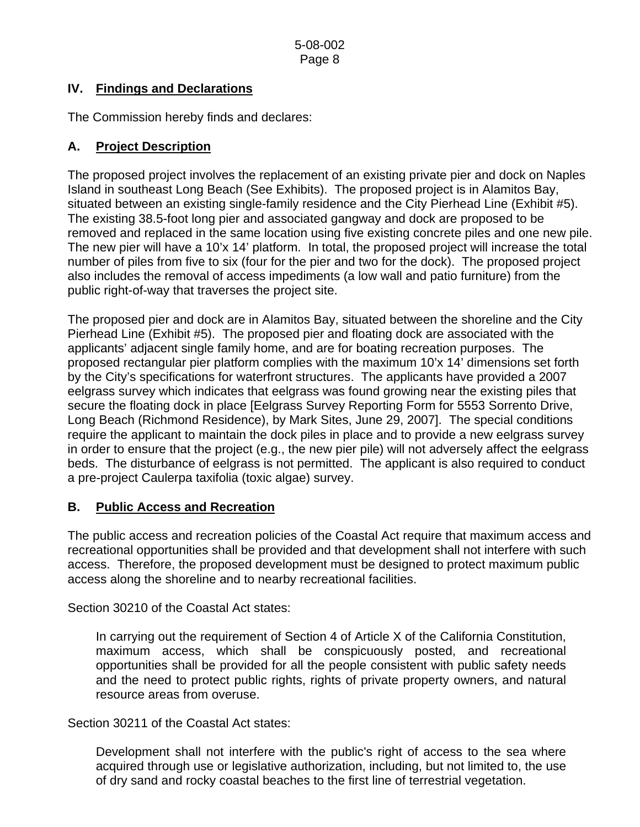# **IV. Findings and Declarations**

The Commission hereby finds and declares:

# **A. Project Description**

The proposed project involves the replacement of an existing private pier and dock on Naples Island in southeast Long Beach (See Exhibits). The proposed project is in Alamitos Bay, situated between an existing single-family residence and the City Pierhead Line (Exhibit #5). The existing 38.5-foot long pier and associated gangway and dock are proposed to be removed and replaced in the same location using five existing concrete piles and one new pile. The new pier will have a 10'x 14' platform. In total, the proposed project will increase the total number of piles from five to six (four for the pier and two for the dock). The proposed project also includes the removal of access impediments (a low wall and patio furniture) from the public right-of-way that traverses the project site.

The proposed pier and dock are in Alamitos Bay, situated between the shoreline and the City Pierhead Line (Exhibit #5). The proposed pier and floating dock are associated with the applicants' adjacent single family home, and are for boating recreation purposes. The proposed rectangular pier platform complies with the maximum 10'x 14' dimensions set forth by the City's specifications for waterfront structures. The applicants have provided a 2007 eelgrass survey which indicates that eelgrass was found growing near the existing piles that secure the floating dock in place [Eelgrass Survey Reporting Form for 5553 Sorrento Drive, Long Beach (Richmond Residence), by Mark Sites, June 29, 2007]. The special conditions require the applicant to maintain the dock piles in place and to provide a new eelgrass survey in order to ensure that the project (e.g., the new pier pile) will not adversely affect the eelgrass beds. The disturbance of eelgrass is not permitted. The applicant is also required to conduct a pre-project Caulerpa taxifolia (toxic algae) survey.

# **B. Public Access and Recreation**

The public access and recreation policies of the Coastal Act require that maximum access and recreational opportunities shall be provided and that development shall not interfere with such access. Therefore, the proposed development must be designed to protect maximum public access along the shoreline and to nearby recreational facilities.

Section 30210 of the Coastal Act states:

In carrying out the requirement of Section 4 of Article X of the California Constitution, maximum access, which shall be conspicuously posted, and recreational opportunities shall be provided for all the people consistent with public safety needs and the need to protect public rights, rights of private property owners, and natural resource areas from overuse.

Section 30211 of the Coastal Act states:

Development shall not interfere with the public's right of access to the sea where acquired through use or legislative authorization, including, but not limited to, the use of dry sand and rocky coastal beaches to the first line of terrestrial vegetation.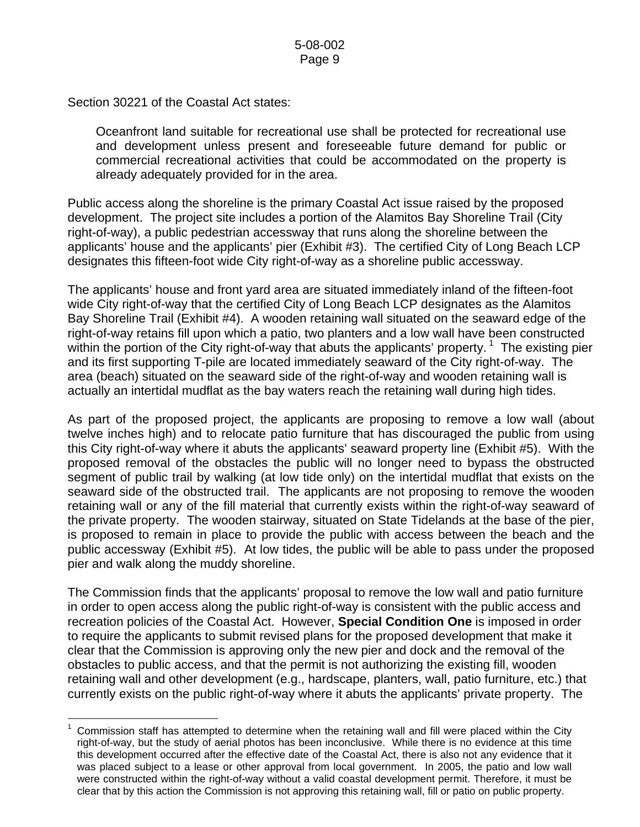Section 30221 of the Coastal Act states:

Oceanfront land suitable for recreational use shall be protected for recreational use and development unless present and foreseeable future demand for public or commercial recreational activities that could be accommodated on the property is already adequately provided for in the area.

Public access along the shoreline is the primary Coastal Act issue raised by the proposed development. The project site includes a portion of the Alamitos Bay Shoreline Trail (City right-of-way), a public pedestrian accessway that runs along the shoreline between the applicants' house and the applicants' pier (Exhibit #3). The certified City of Long Beach LCP designates this fifteen-foot wide City right-of-way as a shoreline public accessway.

The applicants' house and front yard area are situated immediately inland of the fifteen-foot wide City right-of-way that the certified City of Long Beach LCP designates as the Alamitos Bay Shoreline Trail (Exhibit #4). A wooden retaining wall situated on the seaward edge of the right-of-way retains fill upon which a patio, two planters and a low wall have been constructed within the portion of the City right-of-way that abuts the applicants' property.  $1$  The existing pier and its first supporting T-pile are located immediately seaward of the City right-of-way. The area (beach) situated on the seaward side of the right-of-way and wooden retaining wall is actually an intertidal mudflat as the bay waters reach the retaining wall during high tides.

As part of the proposed project, the applicants are proposing to remove a low wall (about twelve inches high) and to relocate patio furniture that has discouraged the public from using this City right-of-way where it abuts the applicants' seaward property line (Exhibit #5). With the proposed removal of the obstacles the public will no longer need to bypass the obstructed segment of public trail by walking (at low tide only) on the intertidal mudflat that exists on the seaward side of the obstructed trail. The applicants are not proposing to remove the wooden retaining wall or any of the fill material that currently exists within the right-of-way seaward of the private property. The wooden stairway, situated on State Tidelands at the base of the pier, is proposed to remain in place to provide the public with access between the beach and the public accessway (Exhibit #5). At low tides, the public will be able to pass under the proposed pier and walk along the muddy shoreline.

The Commission finds that the applicants' proposal to remove the low wall and patio furniture in order to open access along the public right-of-way is consistent with the public access and recreation policies of the Coastal Act. However, **Special Condition One** is imposed in order to require the applicants to submit revised plans for the proposed development that make it clear that the Commission is approving only the new pier and dock and the removal of the obstacles to public access, and that the permit is not authorizing the existing fill, wooden retaining wall and other development (e.g., hardscape, planters, wall, patio furniture, etc.) that currently exists on the public right-of-way where it abuts the applicants' private property. The

<span id="page-8-0"></span> $\overline{a}$ 1 Commission staff has attempted to determine when the retaining wall and fill were placed within the City right-of-way, but the study of aerial photos has been inconclusive. While there is no evidence at this time this development occurred after the effective date of the Coastal Act, there is also not any evidence that it was placed subject to a lease or other approval from local government. In 2005, the patio and low wall were constructed within the right-of-way without a valid coastal development permit. Therefore, it must be clear that by this action the Commission is not approving this retaining wall, fill or patio on public property.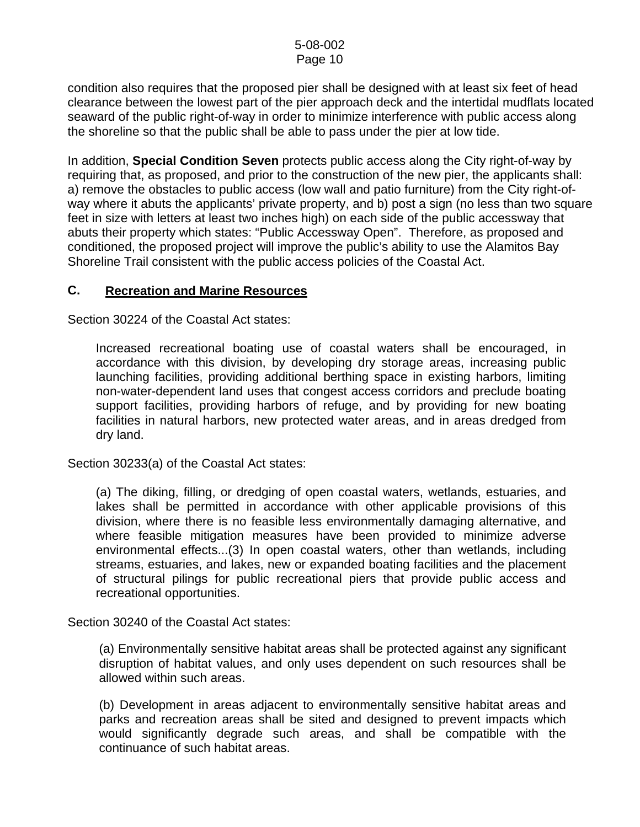condition also requires that the proposed pier shall be designed with at least six feet of head clearance between the lowest part of the pier approach deck and the intertidal mudflats located seaward of the public right-of-way in order to minimize interference with public access along the shoreline so that the public shall be able to pass under the pier at low tide.

In addition, **Special Condition Seven** protects public access along the City right-of-way by requiring that, as proposed, and prior to the construction of the new pier, the applicants shall: a) remove the obstacles to public access (low wall and patio furniture) from the City right-ofway where it abuts the applicants' private property, and b) post a sign (no less than two square feet in size with letters at least two inches high) on each side of the public accessway that abuts their property which states: "Public Accessway Open". Therefore, as proposed and conditioned, the proposed project will improve the public's ability to use the Alamitos Bay Shoreline Trail consistent with the public access policies of the Coastal Act.

# **C. Recreation and Marine Resources**

Section 30224 of the Coastal Act states:

Increased recreational boating use of coastal waters shall be encouraged, in accordance with this division, by developing dry storage areas, increasing public launching facilities, providing additional berthing space in existing harbors, limiting non-water-dependent land uses that congest access corridors and preclude boating support facilities, providing harbors of refuge, and by providing for new boating facilities in natural harbors, new protected water areas, and in areas dredged from dry land.

Section 30233(a) of the Coastal Act states:

(a) The diking, filling, or dredging of open coastal waters, wetlands, estuaries, and lakes shall be permitted in accordance with other applicable provisions of this division, where there is no feasible less environmentally damaging alternative, and where feasible mitigation measures have been provided to minimize adverse environmental effects...(3) In open coastal waters, other than wetlands, including streams, estuaries, and lakes, new or expanded boating facilities and the placement of structural pilings for public recreational piers that provide public access and recreational opportunities.

Section 30240 of the Coastal Act states:

(a) Environmentally sensitive habitat areas shall be protected against any significant disruption of habitat values, and only uses dependent on such resources shall be allowed within such areas.

(b) Development in areas adjacent to environmentally sensitive habitat areas and parks and recreation areas shall be sited and designed to prevent impacts which would significantly degrade such areas, and shall be compatible with the continuance of such habitat areas.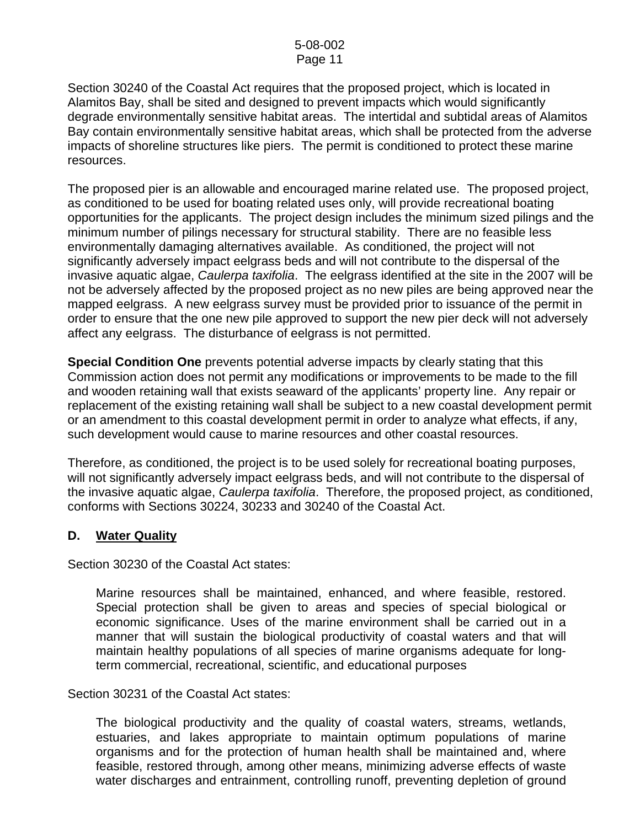Section 30240 of the Coastal Act requires that the proposed project, which is located in Alamitos Bay, shall be sited and designed to prevent impacts which would significantly degrade environmentally sensitive habitat areas. The intertidal and subtidal areas of Alamitos Bay contain environmentally sensitive habitat areas, which shall be protected from the adverse impacts of shoreline structures like piers. The permit is conditioned to protect these marine resources.

The proposed pier is an allowable and encouraged marine related use. The proposed project, as conditioned to be used for boating related uses only, will provide recreational boating opportunities for the applicants. The project design includes the minimum sized pilings and the minimum number of pilings necessary for structural stability. There are no feasible less environmentally damaging alternatives available. As conditioned, the project will not significantly adversely impact eelgrass beds and will not contribute to the dispersal of the invasive aquatic algae, *Caulerpa taxifolia*. The eelgrass identified at the site in the 2007 will be not be adversely affected by the proposed project as no new piles are being approved near the mapped eelgrass. A new eelgrass survey must be provided prior to issuance of the permit in order to ensure that the one new pile approved to support the new pier deck will not adversely affect any eelgrass. The disturbance of eelgrass is not permitted.

**Special Condition One** prevents potential adverse impacts by clearly stating that this Commission action does not permit any modifications or improvements to be made to the fill and wooden retaining wall that exists seaward of the applicants' property line. Any repair or replacement of the existing retaining wall shall be subject to a new coastal development permit or an amendment to this coastal development permit in order to analyze what effects, if any, such development would cause to marine resources and other coastal resources.

Therefore, as conditioned, the project is to be used solely for recreational boating purposes, will not significantly adversely impact eelgrass beds, and will not contribute to the dispersal of the invasive aquatic algae, *Caulerpa taxifolia*. Therefore, the proposed project, as conditioned, conforms with Sections 30224, 30233 and 30240 of the Coastal Act.

# **D. Water Quality**

Section 30230 of the Coastal Act states:

Marine resources shall be maintained, enhanced, and where feasible, restored. Special protection shall be given to areas and species of special biological or economic significance. Uses of the marine environment shall be carried out in a manner that will sustain the biological productivity of coastal waters and that will maintain healthy populations of all species of marine organisms adequate for longterm commercial, recreational, scientific, and educational purposes

Section 30231 of the Coastal Act states:

The biological productivity and the quality of coastal waters, streams, wetlands, estuaries, and lakes appropriate to maintain optimum populations of marine organisms and for the protection of human health shall be maintained and, where feasible, restored through, among other means, minimizing adverse effects of waste water discharges and entrainment, controlling runoff, preventing depletion of ground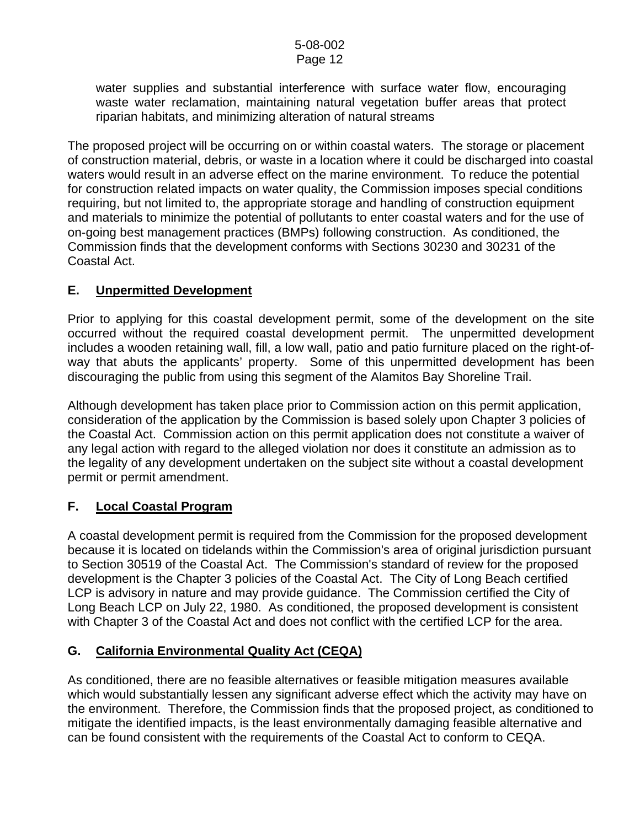water supplies and substantial interference with surface water flow, encouraging waste water reclamation, maintaining natural vegetation buffer areas that protect riparian habitats, and minimizing alteration of natural streams

The proposed project will be occurring on or within coastal waters. The storage or placement of construction material, debris, or waste in a location where it could be discharged into coastal waters would result in an adverse effect on the marine environment. To reduce the potential for construction related impacts on water quality, the Commission imposes special conditions requiring, but not limited to, the appropriate storage and handling of construction equipment and materials to minimize the potential of pollutants to enter coastal waters and for the use of on-going best management practices (BMPs) following construction. As conditioned, the Commission finds that the development conforms with Sections 30230 and 30231 of the Coastal Act.

# **E. Unpermitted Development**

Prior to applying for this coastal development permit, some of the development on the site occurred without the required coastal development permit. The unpermitted development includes a wooden retaining wall, fill, a low wall, patio and patio furniture placed on the right-ofway that abuts the applicants' property. Some of this unpermitted development has been discouraging the public from using this segment of the Alamitos Bay Shoreline Trail.

Although development has taken place prior to Commission action on this permit application, consideration of the application by the Commission is based solely upon Chapter 3 policies of the Coastal Act. Commission action on this permit application does not constitute a waiver of any legal action with regard to the alleged violation nor does it constitute an admission as to the legality of any development undertaken on the subject site without a coastal development permit or permit amendment.

# **F. Local Coastal Program**

A coastal development permit is required from the Commission for the proposed development because it is located on tidelands within the Commission's area of original jurisdiction pursuant to Section 30519 of the Coastal Act. The Commission's standard of review for the proposed development is the Chapter 3 policies of the Coastal Act. The City of Long Beach certified LCP is advisory in nature and may provide guidance. The Commission certified the City of Long Beach LCP on July 22, 1980. As conditioned, the proposed development is consistent with Chapter 3 of the Coastal Act and does not conflict with the certified LCP for the area.

# **G. California Environmental Quality Act (CEQA)**

As conditioned, there are no feasible alternatives or feasible mitigation measures available which would substantially lessen any significant adverse effect which the activity may have on the environment. Therefore, the Commission finds that the proposed project, as conditioned to mitigate the identified impacts, is the least environmentally damaging feasible alternative and can be found consistent with the requirements of the Coastal Act to conform to CEQA.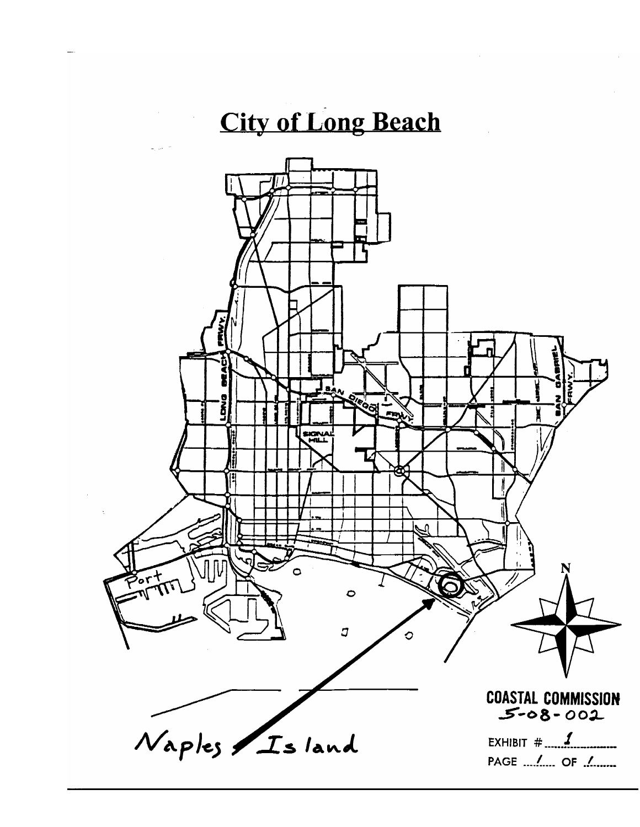# **City of Long Beach**

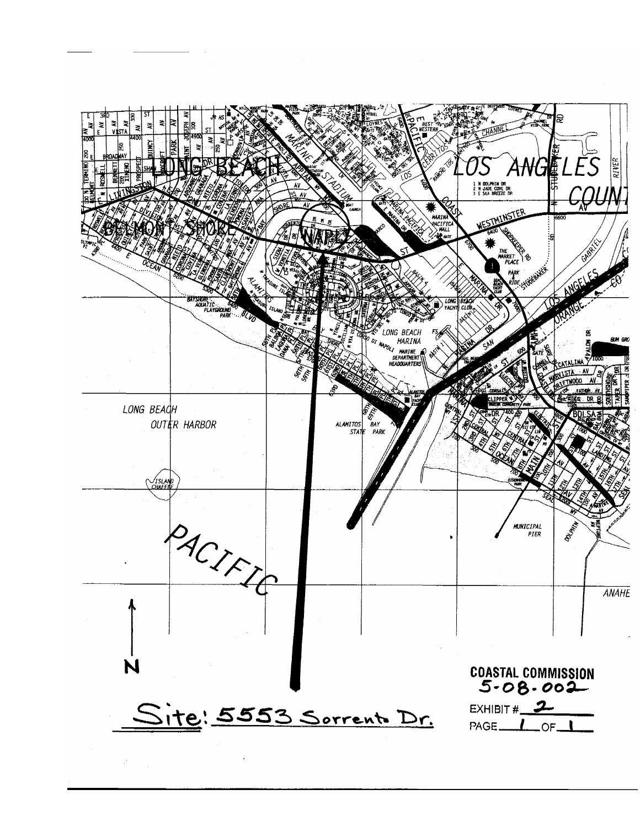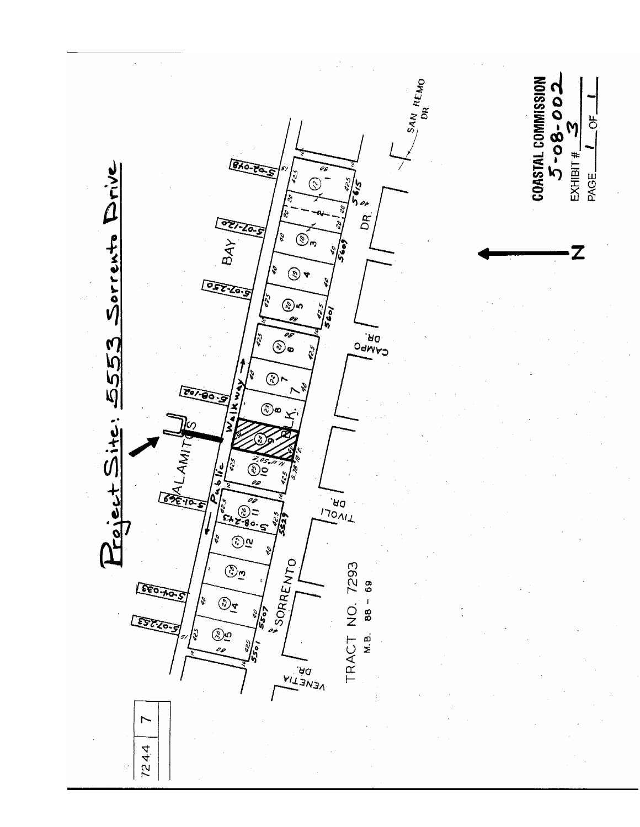$\frac{S_{AN}}{D_{R}}$ REMO  $5 - 08 - 002$ COASTAL COMMISSION  $\overline{5}$  $EXHIBIT#$ BAG-PE Sorrento Drive PAGE\_  $\tilde{\mathcal{E}}$ |پ<br>د ډ ⓒ oi DR.  $\tilde{\mathcal{D}}_n$  $\mathcal{E}_{\mathcal{P}}$  $BAY$  $5609$  $\boldsymbol{\mathsf{Z}}$  $\mathcal{I}$  $\circledcirc$ **DEZ-Zo.3** Ş <u>ලා</u><br>ඥ e<br>S  $\tilde{\boldsymbol{\epsilon}}$  $\overline{\mathcal{O}}$ DR.<br>Odwpo Poiect Site: 5553  $\circledcirc$  $20/90$  $\circledcirc$ الوجير<br>حالا Ş ند<br>پ ত্রু **DR.**<br>TIONIT **EAZ-80-**≀ठ ଟ୍ ς l,  $\bigcirc \mathbf{v}$ SORRENTO  $\widehat{\mathcal{C}}$ ی TRACT NO. 7293  $M.B.$  88 - 69 **EEO-AO**  $\begin{picture}(22,10) \put(0,0){\line(1,0){10}} \put(15,0){\line(1,0){10}} \put(15,0){\line(1,0){10}} \put(15,0){\line(1,0){10}} \put(15,0){\line(1,0){10}} \put(15,0){\line(1,0){10}} \put(15,0){\line(1,0){10}} \put(15,0){\line(1,0){10}} \put(15,0){\line(1,0){10}} \put(15,0){\line(1,0){10}} \put(15,0){\line(1,0){10}} \put(15,0){\line(1$ b へい ç তিয়েত موهي<br>مو  $\ddot{\text{c}}$ **DR.**<br>DR.<br>VENSV L 7244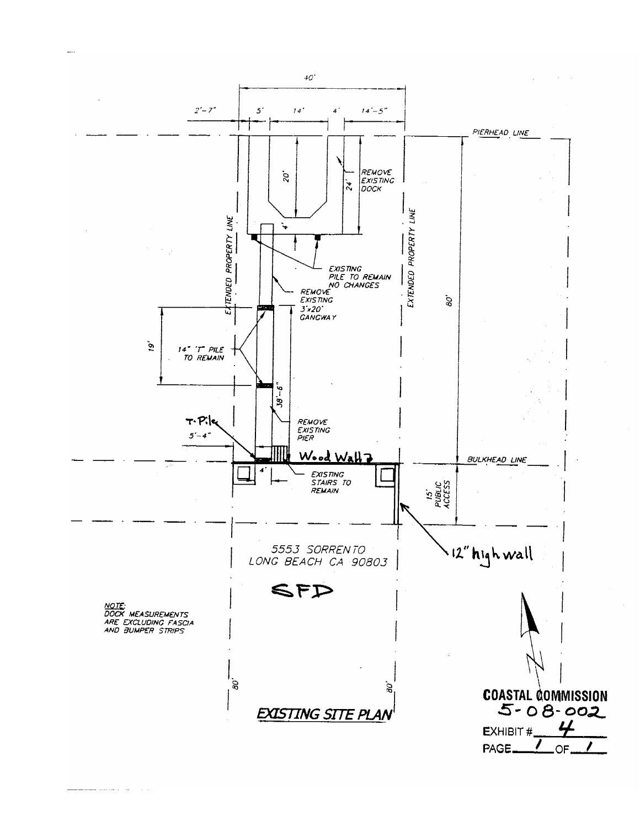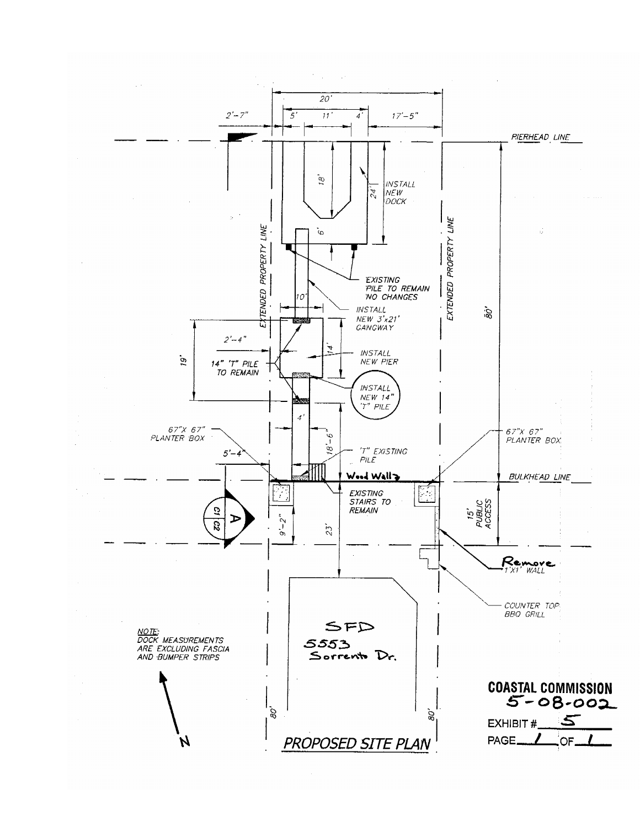